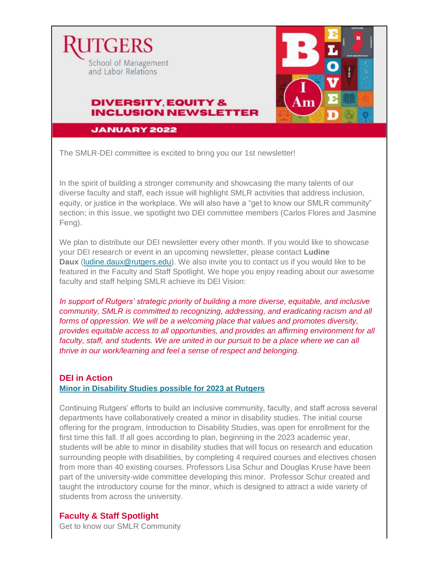

**JANUARY 2022** 

The SMLR-DEI committee is excited to bring you our 1st newsletter!

In the spirit of building a stronger community and showcasing the many talents of our diverse faculty and staff, each issue will highlight SMLR activities that address inclusion, equity, or justice in the workplace. We will also have a "get to know our SMLR community" section; in this issue, we spotlight two DEI committee members (Carlos Flores and Jasmine Feng).

We plan to distribute our DEI newsletter every other month. If you would like to showcase your DEI research or event in an upcoming newsletter, please contact **Ludine Daux** [\(ludine.daux@rutgers.edu\)](mailto:ludine.daux@rutgers.edu). We also invite you to contact us if you would like to be featured in the Faculty and Staff Spotlight. We hope you enjoy reading about our awesome faculty and staff helping SMLR achieve its DEI Vision:

*In support of Rutgers' strategic priority of building a more diverse, equitable, and inclusive community, SMLR is committed to recognizing, addressing, and eradicating racism and all forms of oppression. We will be a welcoming place that values and promotes diversity, provides equitable access to all opportunities, and provides an affirming environment for all*  faculty, staff, and students. We are united in our pursuit to be a place where we can all *thrive in our work/learning and feel a sense of respect and belonging.*

#### **DEI in Action [Minor in Disability Studies possible for 2023 at Rutgers](https://nam02.safelinks.protection.outlook.com/?url=https%3A%2F%2Fdailytargum.com%2Farticle%2F2021%2F11%2Frutgers-proposes-new-interdepartmental-minor-in-disability-studies&data=04%7C01%7Cdvogel%40smlr.rutgers.edu%7C03ed2ad619134d6c5fc308d9e1dc34b0%7Cb92d2b234d35447093ff69aca6632ffe%7C1%7C0%7C637789158163395844%7CUnknown%7CTWFpbGZsb3d8eyJWIjoiMC4wLjAwMDAiLCJQIjoiV2luMzIiLCJBTiI6Ik1haWwiLCJXVCI6Mn0%3D%7C3000&sdata=zlyPA53f4qfqfw21%2Bgq4fkKz5RxYnhUrIMa5yLOgjDU%3D&reserved=0)**

Continuing Rutgers' efforts to build an inclusive community, faculty, and staff across several departments have collaboratively created a minor in disability studies. The initial course offering for the program, Introduction to Disability Studies, was open for enrollment for the first time this fall. If all goes according to plan, beginning in the 2023 academic year, students will be able to minor in disability studies that will focus on research and education surrounding people with disabilities, by completing 4 required courses and electives chosen from more than 40 existing courses. Professors Lisa Schur and Douglas Kruse have been part of the university-wide committee developing this minor. Professor Schur created and taught the introductory course for the minor, which is designed to attract a wide variety of students from across the university.

## **Faculty & Staff Spotlight**

Get to know our SMLR Community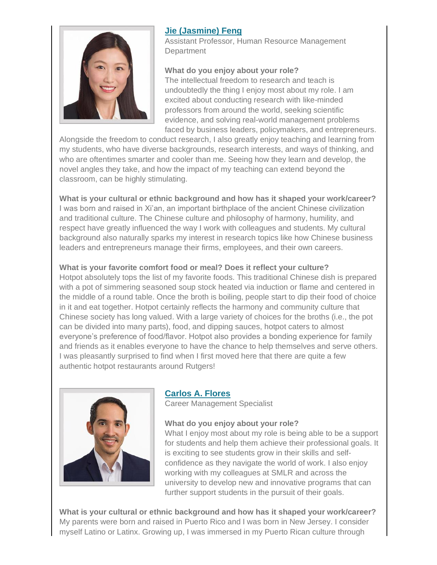

# **[Jie \(Jasmine\) Feng](https://smlr.rutgers.edu/faculty-staff/jie-jasmine-feng)**

Assistant Professor, Human Resource Management **Department** 

## **What do you enjoy about your role?**

The intellectual freedom to research and teach is undoubtedly the thing I enjoy most about my role. I am excited about conducting research with like-minded professors from around the world, seeking scientific evidence, and solving real-world management problems faced by business leaders, policymakers, and entrepreneurs.

Alongside the freedom to conduct research, I also greatly enjoy teaching and learning from my students, who have diverse backgrounds, research interests, and ways of thinking, and who are oftentimes smarter and cooler than me. Seeing how they learn and develop, the novel angles they take, and how the impact of my teaching can extend beyond the classroom, can be highly stimulating.

#### **What is your cultural or ethnic background and how has it shaped your work/career?**

I was born and raised in Xi'an, an important birthplace of the ancient Chinese civilization and traditional culture. The Chinese culture and philosophy of harmony, humility, and respect have greatly influenced the way I work with colleagues and students. My cultural background also naturally sparks my interest in research topics like how Chinese business leaders and entrepreneurs manage their firms, employees, and their own careers.

#### **What is your favorite comfort food or meal? Does it reflect your culture?**

Hotpot absolutely tops the list of my favorite foods. This traditional Chinese dish is prepared with a pot of simmering seasoned soup stock heated via induction or flame and centered in the middle of a round table. Once the broth is boiling, people start to dip their food of choice in it and eat together. Hotpot certainly reflects the harmony and community culture that Chinese society has long valued. With a large variety of choices for the broths (i.e., the pot can be divided into many parts), food, and dipping sauces, hotpot caters to almost everyone's preference of food/flavor. Hotpot also provides a bonding experience for family and friends as it enables everyone to have the chance to help themselves and serve others. I was pleasantly surprised to find when I first moved here that there are quite a few authentic hotpot restaurants around Rutgers!



## **[Carlos A. Flores](https://smlr.rutgers.edu/faculty-staff/carlos-flores)**

Career Management Specialist

#### **What do you enjoy about your role?**

What I enjoy most about my role is being able to be a support for students and help them achieve their professional goals. It is exciting to see students grow in their skills and selfconfidence as they navigate the world of work. I also enjoy working with my colleagues at SMLR and across the university to develop new and innovative programs that can further support students in the pursuit of their goals.

**What is your cultural or ethnic background and how has it shaped your work/career?** My parents were born and raised in Puerto Rico and I was born in New Jersey. I consider myself Latino or Latinx. Growing up, I was immersed in my Puerto Rican culture through